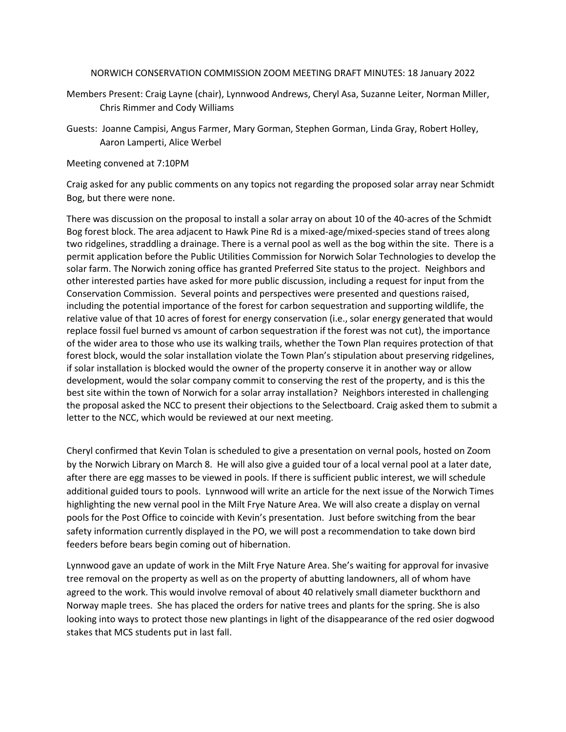## NORWICH CONSERVATION COMMISSION ZOOM MEETING DRAFT MINUTES: 18 January 2022

- Members Present: Craig Layne (chair), Lynnwood Andrews, Cheryl Asa, Suzanne Leiter, Norman Miller, Chris Rimmer and Cody Williams
- Guests: Joanne Campisi, Angus Farmer, Mary Gorman, Stephen Gorman, Linda Gray, Robert Holley, Aaron Lamperti, Alice Werbel

Meeting convened at 7:10PM

Craig asked for any public comments on any topics not regarding the proposed solar array near Schmidt Bog, but there were none.

There was discussion on the proposal to install a solar array on about 10 of the 40-acres of the Schmidt Bog forest block. The area adjacent to Hawk Pine Rd is a mixed-age/mixed-species stand of trees along two ridgelines, straddling a drainage. There is a vernal pool as well as the bog within the site. There is a permit application before the Public Utilities Commission for Norwich Solar Technologies to develop the solar farm. The Norwich zoning office has granted Preferred Site status to the project. Neighbors and other interested parties have asked for more public discussion, including a request for input from the Conservation Commission. Several points and perspectives were presented and questions raised, including the potential importance of the forest for carbon sequestration and supporting wildlife, the relative value of that 10 acres of forest for energy conservation (i.e., solar energy generated that would replace fossil fuel burned vs amount of carbon sequestration if the forest was not cut), the importance of the wider area to those who use its walking trails, whether the Town Plan requires protection of that forest block, would the solar installation violate the Town Plan's stipulation about preserving ridgelines, if solar installation is blocked would the owner of the property conserve it in another way or allow development, would the solar company commit to conserving the rest of the property, and is this the best site within the town of Norwich for a solar array installation? Neighbors interested in challenging the proposal asked the NCC to present their objections to the Selectboard. Craig asked them to submit a letter to the NCC, which would be reviewed at our next meeting.

Cheryl confirmed that Kevin Tolan is scheduled to give a presentation on vernal pools, hosted on Zoom by the Norwich Library on March 8. He will also give a guided tour of a local vernal pool at a later date, after there are egg masses to be viewed in pools. If there is sufficient public interest, we will schedule additional guided tours to pools. Lynnwood will write an article for the next issue of the Norwich Times highlighting the new vernal pool in the Milt Frye Nature Area. We will also create a display on vernal pools for the Post Office to coincide with Kevin's presentation. Just before switching from the bear safety information currently displayed in the PO, we will post a recommendation to take down bird feeders before bears begin coming out of hibernation.

Lynnwood gave an update of work in the Milt Frye Nature Area. She's waiting for approval for invasive tree removal on the property as well as on the property of abutting landowners, all of whom have agreed to the work. This would involve removal of about 40 relatively small diameter buckthorn and Norway maple trees. She has placed the orders for native trees and plants for the spring. She is also looking into ways to protect those new plantings in light of the disappearance of the red osier dogwood stakes that MCS students put in last fall.